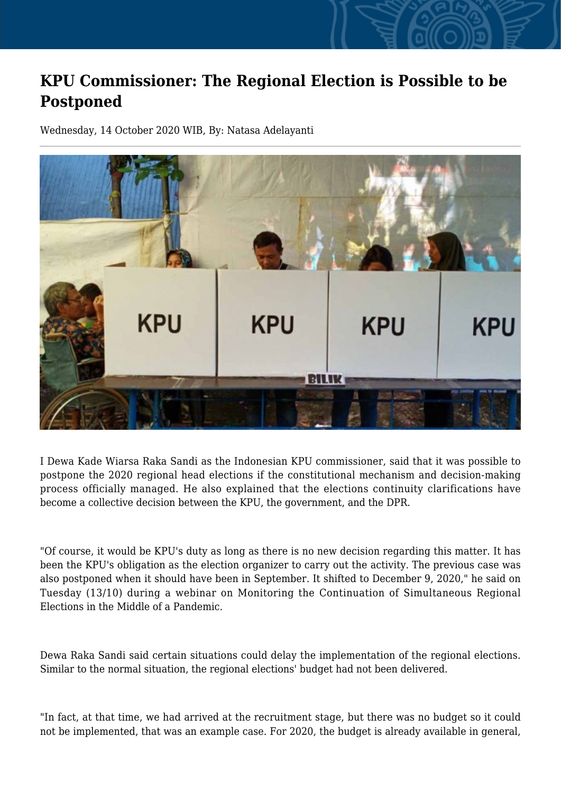## **KPU Commissioner: The Regional Election is Possible to be Postponed**

Wednesday, 14 October 2020 WIB, By: Natasa Adelayanti



I Dewa Kade Wiarsa Raka Sandi as the Indonesian KPU commissioner, said that it was possible to postpone the 2020 regional head elections if the constitutional mechanism and decision-making process officially managed. He also explained that the elections continuity clarifications have become a collective decision between the KPU, the government, and the DPR.

"Of course, it would be KPU's duty as long as there is no new decision regarding this matter. It has been the KPU's obligation as the election organizer to carry out the activity. The previous case was also postponed when it should have been in September. It shifted to December 9, 2020," he said on Tuesday (13/10) during a webinar on Monitoring the Continuation of Simultaneous Regional Elections in the Middle of a Pandemic.

Dewa Raka Sandi said certain situations could delay the implementation of the regional elections. Similar to the normal situation, the regional elections' budget had not been delivered.

"In fact, at that time, we had arrived at the recruitment stage, but there was no budget so it could not be implemented, that was an example case. For 2020, the budget is already available in general,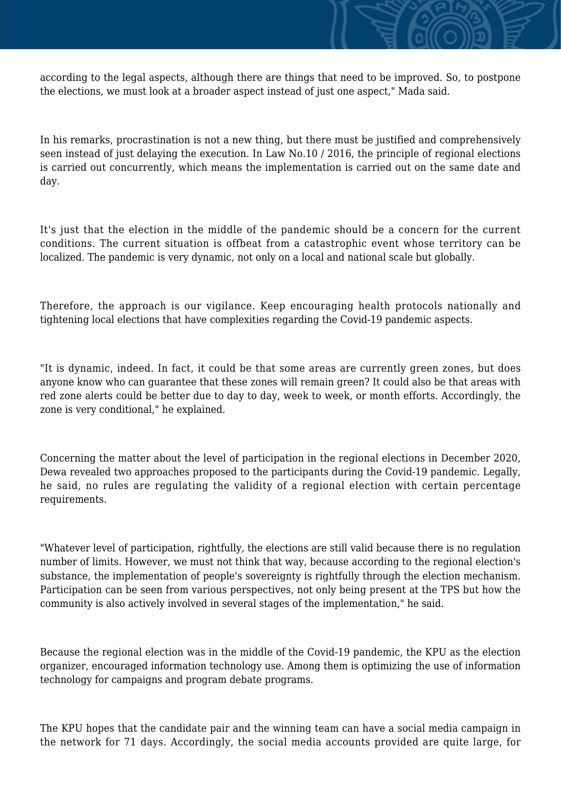

In his remarks, procrastination is not a new thing, but there must be justified and comprehensively seen instead of just delaying the execution. In Law No.10 / 2016, the principle of regional elections is carried out concurrently, which means the implementation is carried out on the same date and day.

It's just that the election in the middle of the pandemic should be a concern for the current conditions. The current situation is offbeat from a catastrophic event whose territory can be localized. The pandemic is very dynamic, not only on a local and national scale but globally.

Therefore, the approach is our vigilance. Keep encouraging health protocols nationally and tightening local elections that have complexities regarding the Covid-19 pandemic aspects.

"It is dynamic, indeed. In fact, it could be that some areas are currently green zones, but does anyone know who can guarantee that these zones will remain green? It could also be that areas with red zone alerts could be better due to day to day, week to week, or month efforts. Accordingly, the zone is very conditional," he explained.

Concerning the matter about the level of participation in the regional elections in December 2020, Dewa revealed two approaches proposed to the participants during the Covid-19 pandemic. Legally, he said, no rules are regulating the validity of a regional election with certain percentage requirements.

"Whatever level of participation, rightfully, the elections are still valid because there is no regulation number of limits. However, we must not think that way, because according to the regional election's substance, the implementation of people's sovereignty is rightfully through the election mechanism. Participation can be seen from various perspectives, not only being present at the TPS but how the community is also actively involved in several stages of the implementation," he said.

Because the regional election was in the middle of the Covid-19 pandemic, the KPU as the election organizer, encouraged information technology use. Among them is optimizing the use of information technology for campaigns and program debate programs.

The KPU hopes that the candidate pair and the winning team can have a social media campaign in the network for 71 days. Accordingly, the social media accounts provided are quite large, for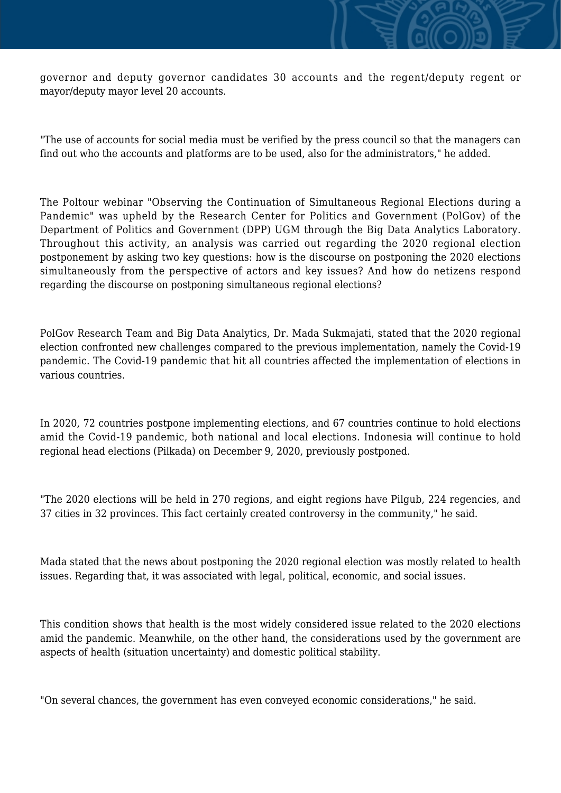governor and deputy governor candidates 30 accounts and the regent/deputy regent or mayor/deputy mayor level 20 accounts.

"The use of accounts for social media must be verified by the press council so that the managers can find out who the accounts and platforms are to be used, also for the administrators," he added.

The Poltour webinar "Observing the Continuation of Simultaneous Regional Elections during a Pandemic" was upheld by the Research Center for Politics and Government (PolGov) of the Department of Politics and Government (DPP) UGM through the Big Data Analytics Laboratory. Throughout this activity, an analysis was carried out regarding the 2020 regional election postponement by asking two key questions: how is the discourse on postponing the 2020 elections simultaneously from the perspective of actors and key issues? And how do netizens respond regarding the discourse on postponing simultaneous regional elections?

PolGov Research Team and Big Data Analytics, Dr. Mada Sukmajati, stated that the 2020 regional election confronted new challenges compared to the previous implementation, namely the Covid-19 pandemic. The Covid-19 pandemic that hit all countries affected the implementation of elections in various countries.

In 2020, 72 countries postpone implementing elections, and 67 countries continue to hold elections amid the Covid-19 pandemic, both national and local elections. Indonesia will continue to hold regional head elections (Pilkada) on December 9, 2020, previously postponed.

"The 2020 elections will be held in 270 regions, and eight regions have Pilgub, 224 regencies, and 37 cities in 32 provinces. This fact certainly created controversy in the community," he said.

Mada stated that the news about postponing the 2020 regional election was mostly related to health issues. Regarding that, it was associated with legal, political, economic, and social issues.

This condition shows that health is the most widely considered issue related to the 2020 elections amid the pandemic. Meanwhile, on the other hand, the considerations used by the government are aspects of health (situation uncertainty) and domestic political stability.

"On several chances, the government has even conveyed economic considerations," he said.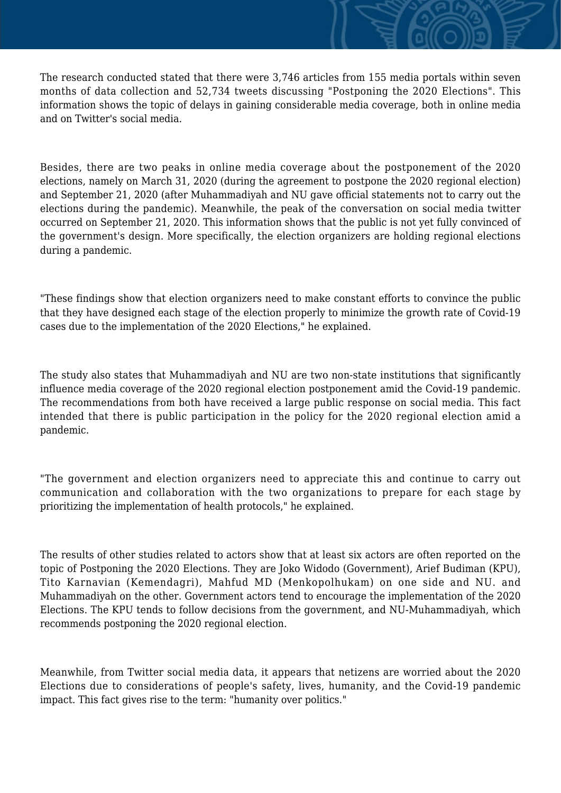The research conducted stated that there were 3,746 articles from 155 media portals within seven months of data collection and 52,734 tweets discussing "Postponing the 2020 Elections". This information shows the topic of delays in gaining considerable media coverage, both in online media and on Twitter's social media.

Besides, there are two peaks in online media coverage about the postponement of the 2020 elections, namely on March 31, 2020 (during the agreement to postpone the 2020 regional election) and September 21, 2020 (after Muhammadiyah and NU gave official statements not to carry out the elections during the pandemic). Meanwhile, the peak of the conversation on social media twitter occurred on September 21, 2020. This information shows that the public is not yet fully convinced of the government's design. More specifically, the election organizers are holding regional elections during a pandemic.

"These findings show that election organizers need to make constant efforts to convince the public that they have designed each stage of the election properly to minimize the growth rate of Covid-19 cases due to the implementation of the 2020 Elections," he explained.

The study also states that Muhammadiyah and NU are two non-state institutions that significantly influence media coverage of the 2020 regional election postponement amid the Covid-19 pandemic. The recommendations from both have received a large public response on social media. This fact intended that there is public participation in the policy for the 2020 regional election amid a pandemic.

"The government and election organizers need to appreciate this and continue to carry out communication and collaboration with the two organizations to prepare for each stage by prioritizing the implementation of health protocols," he explained.

The results of other studies related to actors show that at least six actors are often reported on the topic of Postponing the 2020 Elections. They are Joko Widodo (Government), Arief Budiman (KPU), Tito Karnavian (Kemendagri), Mahfud MD (Menkopolhukam) on one side and NU. and Muhammadiyah on the other. Government actors tend to encourage the implementation of the 2020 Elections. The KPU tends to follow decisions from the government, and NU-Muhammadiyah, which recommends postponing the 2020 regional election.

Meanwhile, from Twitter social media data, it appears that netizens are worried about the 2020 Elections due to considerations of people's safety, lives, humanity, and the Covid-19 pandemic impact. This fact gives rise to the term: "humanity over politics."